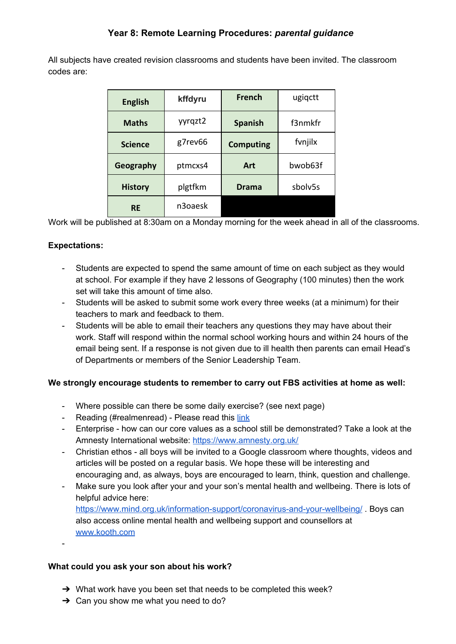## **Year 8: Remote Learning Procedures:** *parental guidance*

All subjects have created revision classrooms and students have been invited. The classroom codes are:

| <b>English</b> | kffdyru | <b>French</b>    | ugiqctt |
|----------------|---------|------------------|---------|
| <b>Maths</b>   | yyrqzt2 | <b>Spanish</b>   | f3nmkfr |
| <b>Science</b> | g7rev66 | <b>Computing</b> | fvnjilx |
| Geography      | ptmcxs4 | Art              | bwob63f |
| <b>History</b> | plgtfkm | Drama            | sbolv5s |
| <b>RE</b>      | n3oaesk |                  |         |

Work will be published at 8:30am on a Monday morning for the week ahead in all of the classrooms.

### **Expectations:**

-

- Students are expected to spend the same amount of time on each subject as they would at school. For example if they have 2 lessons of Geography (100 minutes) then the work set will take this amount of time also.
- Students will be asked to submit some work every three weeks (at a minimum) for their teachers to mark and feedback to them.
- Students will be able to email their teachers any questions they may have about their work. Staff will respond within the normal school working hours and within 24 hours of the email being sent. If a response is not given due to ill health then parents can email Head's of Departments or members of the Senior Leadership Team.

### **We strongly encourage students to remember to carry out FBS activities at home as well:**

- Where possible can there be some daily exercise? (see next page)
- Reading (#realmenread) Please read this [link](https://docs.google.com/document/d/1knSYcsOOGcFy1AO3hGzdqbm3yfsbWLJzxkEkZuPF_4M/edit?usp=sharing)
- Enterprise how can our core values as a school still be demonstrated? Take a look at the Amnesty International website: <https://www.amnesty.org.uk/>
- Christian ethos all boys will be invited to a Google classroom where thoughts, videos and articles will be posted on a regular basis. We hope these will be interesting and encouraging and, as always, boys are encouraged to learn, think, question and challenge.
- Make sure you look after your and your son's mental health and wellbeing. There is lots of helpful advice here: <https://www.mind.org.uk/information-support/coronavirus-and-your-wellbeing/> . Boys can also access online mental health and wellbeing support and counsellors at [www.kooth.com](http://www.kooth.com/)

### **What could you ask your son about his work?**

- $\rightarrow$  What work have you been set that needs to be completed this week?
- $\rightarrow$  Can you show me what you need to do?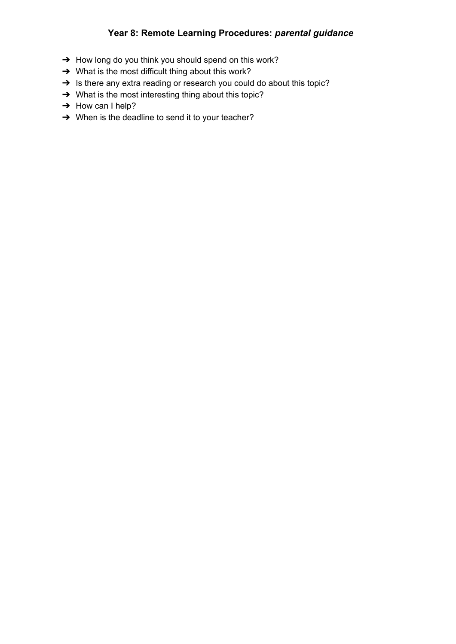# **Year 8: Remote Learning Procedures:** *parental guidance*

- → How long do you think you should spend on this work?
- → What is the most difficult thing about this work?
- → Is there any extra reading or research you could do about this topic?
- → What is the most interesting thing about this topic?
- → How can I help?
- ➔ When is the deadline to send it to your teacher?